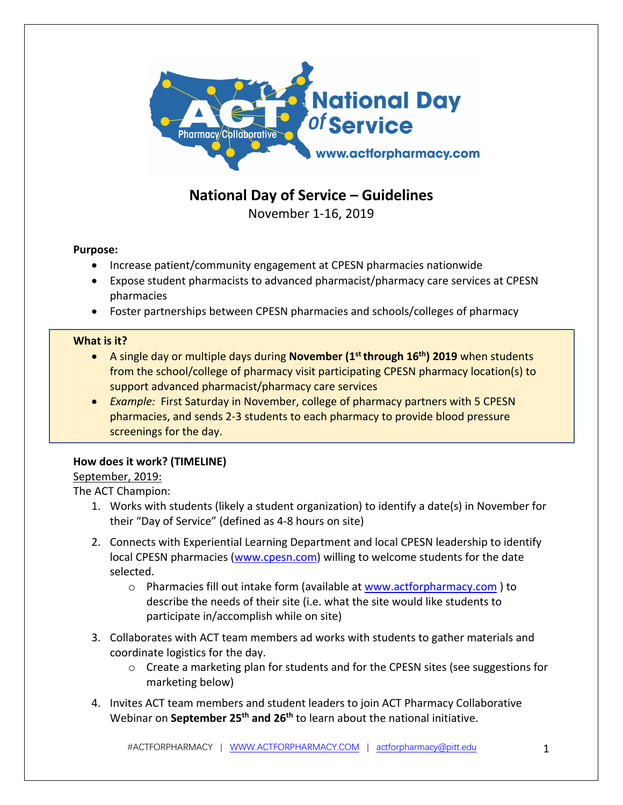

# **National Day of Service – Guidelines**

November 1-16, 2019

## **Purpose:**

- Increase patient/community engagement at CPESN pharmacies nationwide
- Expose student pharmacists to advanced pharmacist/pharmacy care services at CPESN pharmacies
- Foster partnerships between CPESN pharmacies and schools/colleges of pharmacy

## **What is it?**

- A single day or multiple days during **November (1st through 16th) 2019** when students from the school/college of pharmacy visit participating CPESN pharmacy location(s) to support advanced pharmacist/pharmacy care services
- *Example:* First Saturday in November, college of pharmacy partners with 5 CPESN pharmacies, and sends 2-3 students to each pharmacy to provide blood pressure screenings for the day.

## **How does it work? (TIMELINE)**

## September, 2019:

The ACT Champion:

- 1. Works with students (likely a student organization) to identify a date(s) in November for their "Day of Service" (defined as 4-8 hours on site)
- 2. Connects with Experiential Learning Department and local CPESN leadership to identify local CPESN pharmacies (www.cpesn.com) willing to welcome students for the date selected.
	- $\circ$  Pharmacies fill out intake form (available at www.actforpharmacy.com) to describe the needs of their site (i.e. what the site would like students to participate in/accomplish while on site)
- 3. Collaborates with ACT team members ad works with students to gather materials and coordinate logistics for the day.
	- $\circ$  Create a marketing plan for students and for the CPESN sites (see suggestions for marketing below)
- 4. Invites ACT team members and student leaders to join ACT Pharmacy Collaborative Webinar on **September 25th and 26th** to learn about the national initiative.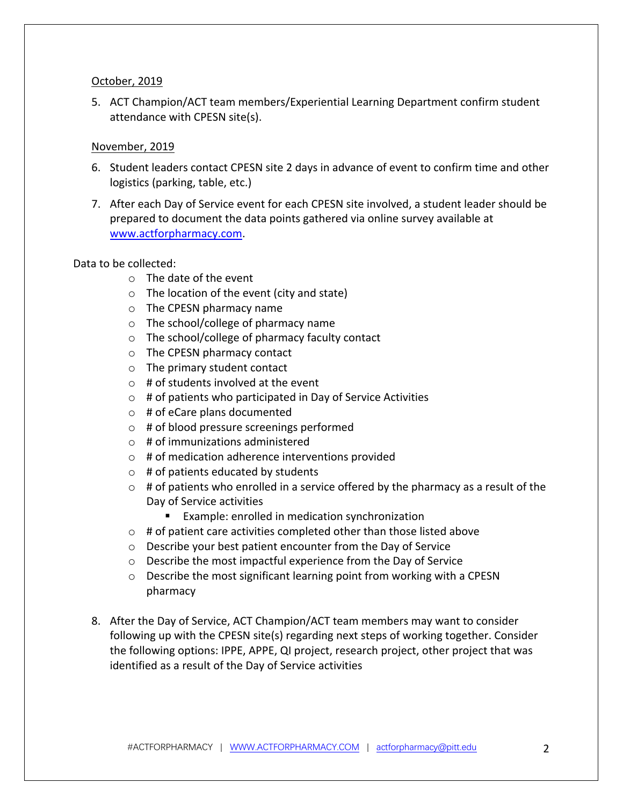### October, 2019

5. ACT Champion/ACT team members/Experiential Learning Department confirm student attendance with CPESN site(s).

### November, 2019

- 6. Student leaders contact CPESN site 2 days in advance of event to confirm time and other logistics (parking, table, etc.)
- 7. After each Day of Service event for each CPESN site involved, a student leader should be prepared to document the data points gathered via online survey available at www.actforpharmacy.com.

### Data to be collected:

- o The date of the event
- o The location of the event (city and state)
- o The CPESN pharmacy name
- o The school/college of pharmacy name
- o The school/college of pharmacy faculty contact
- o The CPESN pharmacy contact
- o The primary student contact
- $\circ$  # of students involved at the event
- $\circ$  # of patients who participated in Day of Service Activities
- $\circ$  # of eCare plans documented
- o # of blood pressure screenings performed
- o # of immunizations administered
- o # of medication adherence interventions provided
- $\circ$  # of patients educated by students
- $\circ$  # of patients who enrolled in a service offered by the pharmacy as a result of the Day of Service activities
	- Example: enrolled in medication synchronization
- $\circ$  # of patient care activities completed other than those listed above
- o Describe your best patient encounter from the Day of Service
- o Describe the most impactful experience from the Day of Service
- o Describe the most significant learning point from working with a CPESN pharmacy
- 8. After the Day of Service, ACT Champion/ACT team members may want to consider following up with the CPESN site(s) regarding next steps of working together. Consider the following options: IPPE, APPE, QI project, research project, other project that was identified as a result of the Day of Service activities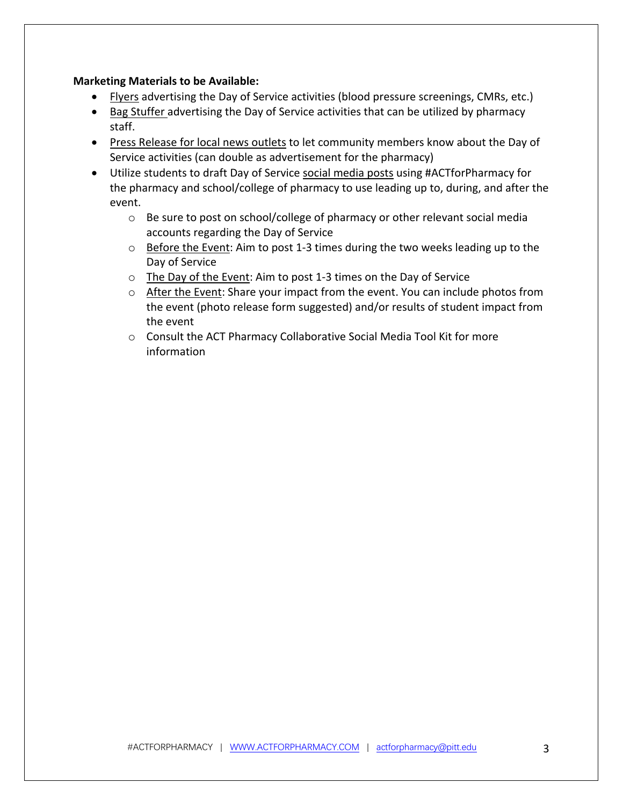### **Marketing Materials to be Available:**

- Flyers advertising the Day of Service activities (blood pressure screenings, CMRs, etc.)
- Bag Stuffer advertising the Day of Service activities that can be utilized by pharmacy staff.
- Press Release for local news outlets to let community members know about the Day of Service activities (can double as advertisement for the pharmacy)
- Utilize students to draft Day of Service social media posts using #ACTforPharmacy for the pharmacy and school/college of pharmacy to use leading up to, during, and after the event.
	- o Be sure to post on school/college of pharmacy or other relevant social media accounts regarding the Day of Service
	- $\circ$  Before the Event: Aim to post 1-3 times during the two weeks leading up to the Day of Service
	- o The Day of the Event: Aim to post 1-3 times on the Day of Service
	- o After the Event: Share your impact from the event. You can include photos from the event (photo release form suggested) and/or results of student impact from the event
	- o Consult the ACT Pharmacy Collaborative Social Media Tool Kit for more information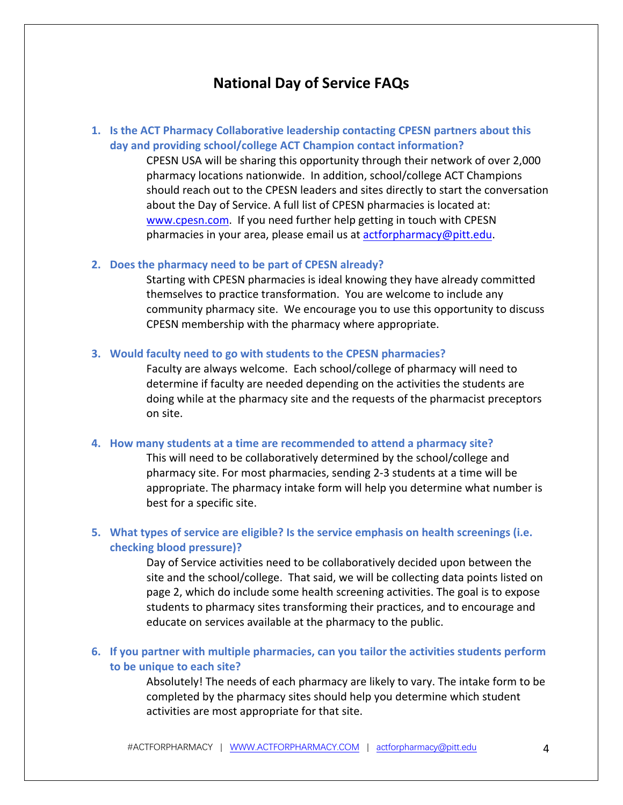## **National Day of Service FAQs**

## **1. Is the ACT Pharmacy Collaborative leadership contacting CPESN partners about this day and providing school/college ACT Champion contact information?**

CPESN USA will be sharing this opportunity through their network of over 2,000 pharmacy locations nationwide. In addition, school/college ACT Champions should reach out to the CPESN leaders and sites directly to start the conversation about the Day of Service. A full list of CPESN pharmacies is located at: www.cpesn.com. If you need further help getting in touch with CPESN pharmacies in your area, please email us at actforpharmacy@pitt.edu.

### **2. Does the pharmacy need to be part of CPESN already?**

Starting with CPESN pharmacies is ideal knowing they have already committed themselves to practice transformation. You are welcome to include any community pharmacy site. We encourage you to use this opportunity to discuss CPESN membership with the pharmacy where appropriate.

#### **3. Would faculty need to go with students to the CPESN pharmacies?**

Faculty are always welcome. Each school/college of pharmacy will need to determine if faculty are needed depending on the activities the students are doing while at the pharmacy site and the requests of the pharmacist preceptors on site.

### **4. How many students at a time are recommended to attend a pharmacy site?**

This will need to be collaboratively determined by the school/college and pharmacy site. For most pharmacies, sending 2-3 students at a time will be appropriate. The pharmacy intake form will help you determine what number is best for a specific site.

## **5. What types of service are eligible? Is the service emphasis on health screenings (i.e. checking blood pressure)?**

Day of Service activities need to be collaboratively decided upon between the site and the school/college. That said, we will be collecting data points listed on page 2, which do include some health screening activities. The goal is to expose students to pharmacy sites transforming their practices, and to encourage and educate on services available at the pharmacy to the public.

### **6. If you partner with multiple pharmacies, can you tailor the activities students perform to be unique to each site?**

Absolutely! The needs of each pharmacy are likely to vary. The intake form to be completed by the pharmacy sites should help you determine which student activities are most appropriate for that site.